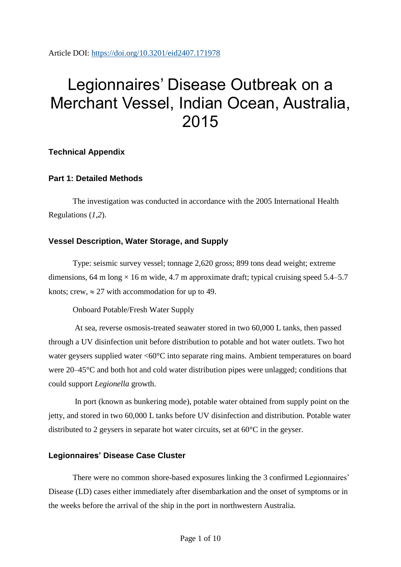Article DOI:<https://doi.org/10.3201/eid2407.171978>

# Legionnaires' Disease Outbreak on a Merchant Vessel, Indian Ocean, Australia, 2015

### **Technical Appendix**

### **Part 1: Detailed Methods**

The investigation was conducted in accordance with the 2005 International Health Regulations (*1*,*2*).

### **Vessel Description, Water Storage, and Supply**

Type: seismic survey vessel; tonnage 2,620 gross; 899 tons dead weight; extreme dimensions, 64 m long  $\times$  16 m wide, 4.7 m approximate draft; typical cruising speed 5.4–5.7 knots; crew,  $\approx 27$  with accommodation for up to 49.

Onboard Potable/Fresh Water Supply

At sea, reverse osmosis-treated seawater stored in two 60,000 L tanks, then passed through a UV disinfection unit before distribution to potable and hot water outlets. Two hot water geysers supplied water <60°C into separate ring mains. Ambient temperatures on board were 20–45°C and both hot and cold water distribution pipes were unlagged; conditions that could support *Legionella* growth.

In port (known as bunkering mode), potable water obtained from supply point on the jetty, and stored in two 60,000 L tanks before UV disinfection and distribution. Potable water distributed to 2 geysers in separate hot water circuits, set at 60°C in the geyser.

#### **Legionnaires' Disease Case Cluster**

There were no common shore-based exposures linking the 3 confirmed Legionnaires' Disease (LD) cases either immediately after disembarkation and the onset of symptoms or in the weeks before the arrival of the ship in the port in northwestern Australia.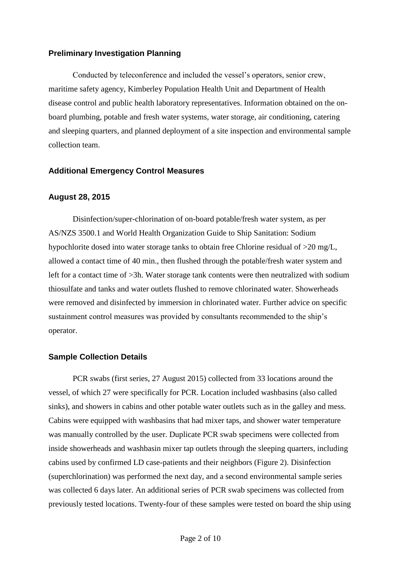#### **Preliminary Investigation Planning**

Conducted by teleconference and included the vessel's operators, senior crew, maritime safety agency, Kimberley Population Health Unit and Department of Health disease control and public health laboratory representatives. Information obtained on the onboard plumbing, potable and fresh water systems, water storage, air conditioning, catering and sleeping quarters, and planned deployment of a site inspection and environmental sample collection team.

#### **Additional Emergency Control Measures**

#### **August 28, 2015**

Disinfection/super-chlorination of on-board potable/fresh water system, as per AS/NZS 3500.1 and World Health Organization Guide to Ship Sanitation: Sodium hypochlorite dosed into water storage tanks to obtain free Chlorine residual of >20 mg/L, allowed a contact time of 40 min., then flushed through the potable/fresh water system and left for a contact time of >3h. Water storage tank contents were then neutralized with sodium thiosulfate and tanks and water outlets flushed to remove chlorinated water. Showerheads were removed and disinfected by immersion in chlorinated water. Further advice on specific sustainment control measures was provided by consultants recommended to the ship's operator.

#### **Sample Collection Details**

PCR swabs (first series, 27 August 2015) collected from 33 locations around the vessel, of which 27 were specifically for PCR. Location included washbasins (also called sinks), and showers in cabins and other potable water outlets such as in the galley and mess. Cabins were equipped with washbasins that had mixer taps, and shower water temperature was manually controlled by the user. Duplicate PCR swab specimens were collected from inside showerheads and washbasin mixer tap outlets through the sleeping quarters, including cabins used by confirmed LD case-patients and their neighbors (Figure 2). Disinfection (superchlorination) was performed the next day, and a second environmental sample series was collected 6 days later. An additional series of PCR swab specimens was collected from previously tested locations. Twenty-four of these samples were tested on board the ship using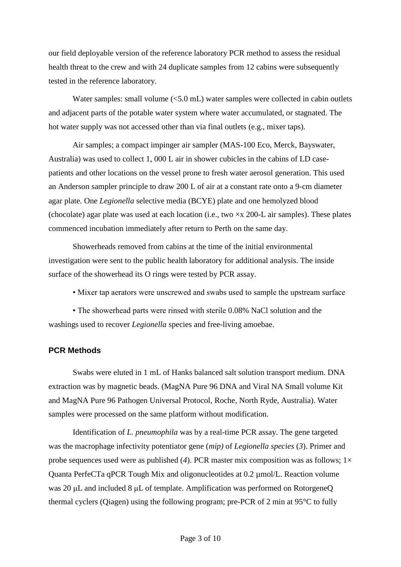our field deployable version of the reference laboratory PCR method to assess the residual health threat to the crew and with 24 duplicate samples from 12 cabins were subsequently tested in the reference laboratory.

Water samples: small volume (<5.0 mL) water samples were collected in cabin outlets and adjacent parts of the potable water system where water accumulated, or stagnated. The hot water supply was not accessed other than via final outlets (e.g., mixer taps).

Air samples; a compact impinger air sampler (MAS-100 Eco, Merck, Bayswater, Australia) was used to collect 1, 000 L air in shower cubicles in the cabins of LD casepatients and other locations on the vessel prone to fresh water aerosol generation. This used an Anderson sampler principle to draw 200 L of air at a constant rate onto a 9-cm diameter agar plate. One *Legionella* selective media (BCYE) plate and one hemolyzed blood (chocolate) agar plate was used at each location (i.e., two  $\times x$  200-L air samples). These plates commenced incubation immediately after return to Perth on the same day.

Showerheads removed from cabins at the time of the initial environmental investigation were sent to the public health laboratory for additional analysis. The inside surface of the showerhead its O rings were tested by PCR assay.

• Mixer tap aerators were unscrewed and swabs used to sample the upstream surface

• The showerhead parts were rinsed with sterile 0.08% NaCl solution and the washings used to recover *Legionella* species and free-living amoebae.

#### **PCR Methods**

Swabs were eluted in 1 mL of Hanks balanced salt solution transport medium. DNA extraction was by magnetic beads. (MagNA Pure 96 DNA and Viral NA Small volume Kit and MagNA Pure 96 Pathogen Universal Protocol, Roche, North Ryde, Australia). Water samples were processed on the same platform without modification.

Identification of *L. pneumophila* was by a real-time PCR assay. The gene targeted was the macrophage infectivity potentiator gene (*mip)* of *Legionella species* (*3*). Primer and probe sequences used were as published (4). PCR master mix composition was as follows;  $1 \times$ Quanta PerfeCTa qPCR Tough Mix and oligonucleotides at 0.2 µmol/L. Reaction volume was 20 μL and included 8 μL of template. Amplification was performed on RotorgeneQ thermal cyclers (Qiagen) using the following program; pre-PCR of 2 min at 95°C to fully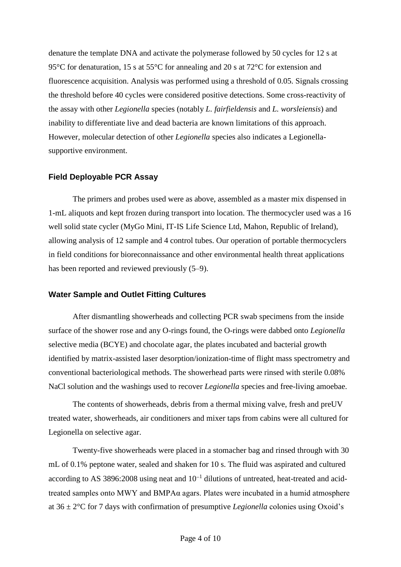denature the template DNA and activate the polymerase followed by 50 cycles for 12 s at 95°C for denaturation, 15 s at 55°C for annealing and 20 s at 72°C for extension and fluorescence acquisition. Analysis was performed using a threshold of 0.05. Signals crossing the threshold before 40 cycles were considered positive detections. Some cross-reactivity of the assay with other *Legionella* species (notably *L. fairfieldensis* and *L. worsleiensis*) and inability to differentiate live and dead bacteria are known limitations of this approach. However, molecular detection of other *Legionella* species also indicates a Legionellasupportive environment.

#### **Field Deployable PCR Assay**

The primers and probes used were as above, assembled as a master mix dispensed in 1-mL aliquots and kept frozen during transport into location. The thermocycler used was a 16 well solid state cycler (MyGo Mini, IT-IS Life Science Ltd, Mahon, Republic of Ireland), allowing analysis of 12 sample and 4 control tubes. Our operation of portable thermocyclers in field conditions for bioreconnaissance and other environmental health threat applications has been reported and reviewed previously  $(5-9)$ .

#### **Water Sample and Outlet Fitting Cultures**

After dismantling showerheads and collecting PCR swab specimens from the inside surface of the shower rose and any O-rings found, the O-rings were dabbed onto *Legionella* selective media (BCYE) and chocolate agar, the plates incubated and bacterial growth identified by matrix-assisted laser desorption/ionization-time of flight mass spectrometry and conventional bacteriological methods. The showerhead parts were rinsed with sterile 0.08% NaCl solution and the washings used to recover *Legionella* species and free-living amoebae.

The contents of showerheads, debris from a thermal mixing valve, fresh and preUV treated water, showerheads, air conditioners and mixer taps from cabins were all cultured for Legionella on selective agar.

Twenty-five showerheads were placed in a stomacher bag and rinsed through with 30 mL of 0.1% peptone water, sealed and shaken for 10 s. The fluid was aspirated and cultured according to AS 3896:2008 using neat and  $10^{-1}$  dilutions of untreated, heat-treated and acidtreated samples onto MWY and BMPAα agars. Plates were incubated in a humid atmosphere at 36 ± 2°C for 7 days with confirmation of presumptive *Legionella* colonies using Oxoid's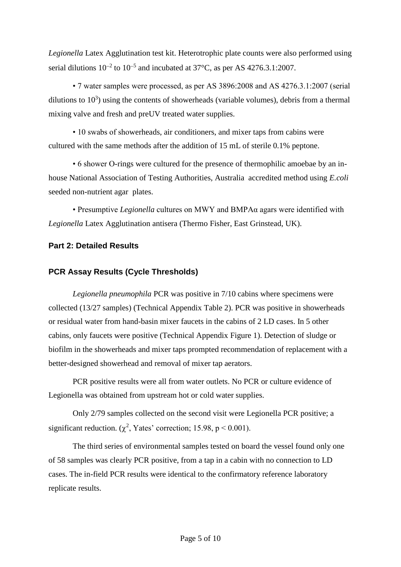*Legionella* Latex Agglutination test kit. Heterotrophic plate counts were also performed using serial dilutions  $10^{-2}$  to  $10^{-5}$  and incubated at 37°C, as per AS 4276.3.1:2007.

• 7 water samples were processed, as per AS 3896:2008 and AS 4276.3.1:2007 (serial dilutions to  $10<sup>3</sup>$ ) using the contents of showerheads (variable volumes), debris from a thermal mixing valve and fresh and preUV treated water supplies.

• 10 swabs of showerheads, air conditioners, and mixer taps from cabins were cultured with the same methods after the addition of 15 mL of sterile 0.1% peptone.

• 6 shower O-rings were cultured for the presence of thermophilic amoebae by an inhouse National Association of Testing Authorities, Australia accredited method using *E.coli* seeded non-nutrient agar plates.

• Presumptive *Legionella* cultures on MWY and BMPAα agars were identified with *Legionella* Latex Agglutination antisera (Thermo Fisher, East Grinstead, UK).

#### **Part 2: Detailed Results**

#### **PCR Assay Results (Cycle Thresholds)**

*Legionella pneumophila* PCR was positive in 7/10 cabins where specimens were collected (13/27 samples) (Technical Appendix Table 2). PCR was positive in showerheads or residual water from hand-basin mixer faucets in the cabins of 2 LD cases. In 5 other cabins, only faucets were positive (Technical Appendix Figure 1). Detection of sludge or biofilm in the showerheads and mixer taps prompted recommendation of replacement with a better-designed showerhead and removal of mixer tap aerators.

PCR positive results were all from water outlets. No PCR or culture evidence of Legionella was obtained from upstream hot or cold water supplies.

Only 2/79 samples collected on the second visit were Legionella PCR positive; a significant reduction. ( $\chi^2$ , Yates' correction; 15.98, p < 0.001).

The third series of environmental samples tested on board the vessel found only one of 58 samples was clearly PCR positive, from a tap in a cabin with no connection to LD cases. The in-field PCR results were identical to the confirmatory reference laboratory replicate results.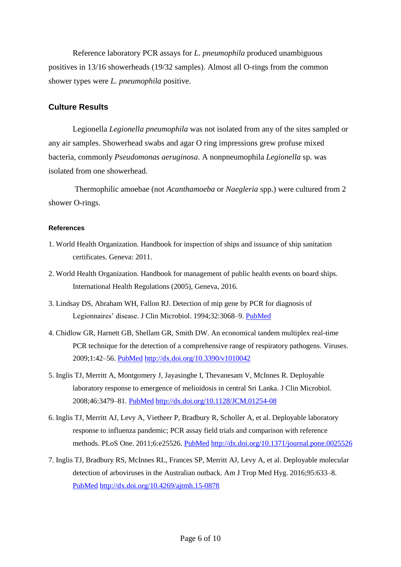Reference laboratory PCR assays for *L. pneumophila* produced unambiguous positives in 13/16 showerheads (19/32 samples). Almost all O-rings from the common shower types were *L. pneumophila* positive.

#### **Culture Results**

Legionella *Legionella pneumophila* was not isolated from any of the sites sampled or any air samples. Showerhead swabs and agar O ring impressions grew profuse mixed bacteria, commonly *Pseudomonas aeruginosa*. A nonpneumophila *Legionella* sp. was isolated from one showerhead.

Thermophilic amoebae (not *Acanthamoeba* or *Naegleria* spp.) were cultured from 2 shower O-rings.

#### **References**

- 1. World Health Organization. Handbook for inspection of ships and issuance of ship sanitation certificates. Geneva: 2011.
- 2. World Health Organization. Handbook for management of public health events on board ships. International Health Regulations (2005), Geneva, 2016.
- 3. Lindsay DS, Abraham WH, Fallon RJ. Detection of mip gene by PCR for diagnosis of Legionnaires' disease. J Clin Microbiol. 1994;32:3068–9. [PubMed](https://www.ncbi.nlm.nih.gov/entrez/query.fcgi?cmd=Retrieve&db=PubMed&list_uids=7883904&dopt=Abstract)
- 4. Chidlow GR, Harnett GB, Shellam GR, Smith DW. An economical tandem multiplex real-time PCR technique for the detection of a comprehensive range of respiratory pathogens. Viruses. 2009;1:42–56. [PubMed](https://www.ncbi.nlm.nih.gov/entrez/query.fcgi?cmd=Retrieve&db=PubMed&list_uids=21994537&dopt=Abstract) <http://dx.doi.org/10.3390/v1010042>
- 5. Inglis TJ, Merritt A, Montgomery J, Jayasinghe I, Thevanesam V, McInnes R. Deployable laboratory response to emergence of melioidosis in central Sri Lanka. J Clin Microbiol. 2008;46:3479–81. [PubMed](https://www.ncbi.nlm.nih.gov/entrez/query.fcgi?cmd=Retrieve&db=PubMed&list_uids=18716231&dopt=Abstract) <http://dx.doi.org/10.1128/JCM.01254-08>
- 6. Inglis TJ, Merritt AJ, Levy A, Vietheer P, Bradbury R, Scholler A, et al. Deployable laboratory response to influenza pandemic; PCR assay field trials and comparison with reference methods. PLoS One. 2011;6:e25526. [PubMed](https://www.ncbi.nlm.nih.gov/entrez/query.fcgi?cmd=Retrieve&db=PubMed&list_uids=22022407&dopt=Abstract) <http://dx.doi.org/10.1371/journal.pone.0025526>
- 7. Inglis TJ, Bradbury RS, McInnes RL, Frances SP, Merritt AJ, Levy A, et al. Deployable molecular detection of arboviruses in the Australian outback. Am J Trop Med Hyg. 2016;95:633–8[.](https://www.ncbi.nlm.nih.gov/entrez/query.fcgi?cmd=Retrieve&db=PubMed&list_uids=27402516&dopt=Abstract) [PubMed](https://www.ncbi.nlm.nih.gov/entrez/query.fcgi?cmd=Retrieve&db=PubMed&list_uids=27402516&dopt=Abstract) <http://dx.doi.org/10.4269/ajtmh.15-0878>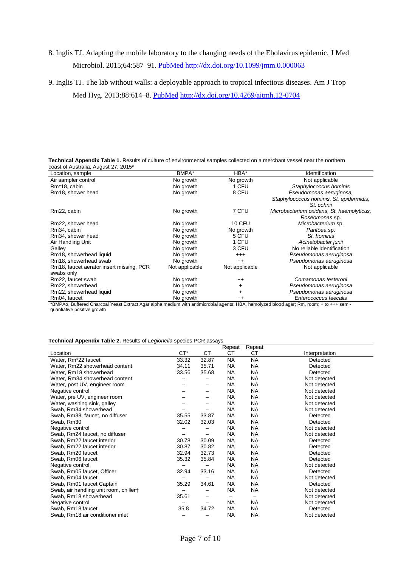## 8. Inglis TJ. Adapting the mobile laboratory to the changing needs of the Ebolavirus epidemic. J Med Microbiol. 2015;64:587–91. [PubMed](https://www.ncbi.nlm.nih.gov/entrez/query.fcgi?cmd=Retrieve&db=PubMed&list_uids=25833152&dopt=Abstract) <http://dx.doi.org/10.1099/jmm.0.000063>

9. Inglis TJ. The lab without walls: a deployable approach to tropical infectious diseases. Am J Trop

Med Hyg. 2013;88:614–8. [PubMed](https://www.ncbi.nlm.nih.gov/entrez/query.fcgi?cmd=Retrieve&db=PubMed&list_uids=23553225&dopt=Abstract) <http://dx.doi.org/10.4269/ajtmh.12-0704>

| Technical Appendix Table 1. Results of culture of environmental samples collected on a merchant vessel near the northern |  |  |
|--------------------------------------------------------------------------------------------------------------------------|--|--|
| coast of Australia, August 27, 2015*                                                                                     |  |  |

| Location, sample                         | BMPA*          | HBA*           | Identification                            |
|------------------------------------------|----------------|----------------|-------------------------------------------|
| Air sampler control                      | No growth      | No growth      | Not applicable                            |
| Rm <sup>*</sup> 18, cabin                | No growth      | 1 CFU          | Staphylococcus hominis                    |
| Rm18, shower head                        | No growth      | 8 CFU          | Pseudomonas aeruginosa,                   |
|                                          |                |                | Staphylococcus hominis, St. epidermidis,  |
|                                          |                |                | St. cohnii                                |
| Rm22, cabin                              | No growth      | 7 CFU          | Microbacterium oxidans, St. haemolyticus, |
|                                          |                |                | Roseomonas sp.                            |
| Rm22, shower head                        | No growth      | <b>10 CFU</b>  | Microbacterium sp.                        |
| Rm34, cabin                              | No growth      | No growth      | Pantoea sp.                               |
| Rm34, shower head                        | No growth      | 5 CFU          | St. hominis                               |
| Air Handling Unit                        | No growth      | 1 CFU          | Acinetobacter junii                       |
| Galley                                   | No growth      | 3 CFU          | No reliable identification                |
| Rm18, showerhead liquid                  | No growth      | $^{+++}$       | Pseudomonas aeruginosa                    |
| Rm18, showerhead swab                    | No growth      | $++$           | Pseudomonas aeruginosa                    |
| Rm18, faucet aerator insert missing, PCR | Not applicable | Not applicable | Not applicable                            |
| swabs only                               |                |                |                                           |
| Rm22, faucet swab                        | No growth      | $++$           | Comamonas testeroni                       |
| Rm22, showerhead                         | No growth      | $\ddot{}$      | Pseudomonas aeruginosa                    |
| Rm22, showerhead liquid                  | No growth      | $\ddot{}$      | Pseudomonas aeruginosa                    |
| Rm04, faucet                             | No growth      | $++$           | Enterococcus faecalis                     |

\*BMPAα, Buffered Charcoal Yeast Extract Agar alpha medium with antimicrobial agents; HBA, hemolyzed blood agar; Rm, room; + to +++ semiquantiative positive growth

#### **Technical Appendix Table 2.** Results of *Legionella* species PCR assays

|                                        |        |       | Repeat    | Repeat    |                |
|----------------------------------------|--------|-------|-----------|-----------|----------------|
| Location                               | $CT^*$ | СT    | СT        | СT        | Interpretation |
| Water, Rm <sup>*</sup> 22 faucet       | 33.32  | 32.87 | NA.       | <b>NA</b> | Detected       |
| Water, Rm22 showerhead content         | 34.11  | 35.71 | <b>NA</b> | <b>NA</b> | Detected       |
| Water, Rm18 showerhead                 | 33.56  | 35.68 | <b>NA</b> | <b>NA</b> | Detected       |
| Water, Rm34 showerhead content         |        |       | <b>NA</b> | <b>NA</b> | Not detected   |
| Water, post UV, engineer room          |        |       | NA        | <b>NA</b> | Not detected   |
| Negative control                       |        |       | <b>NA</b> | <b>NA</b> | Not detected   |
| Water, pre UV, engineer room           |        |       | <b>NA</b> | <b>NA</b> | Not detected   |
| Water, washing sink, galley            |        |       | NA        | <b>NA</b> | Not detected   |
| Swab, Rm34 showerhead                  |        |       | <b>NA</b> | <b>NA</b> | Not detected   |
| Swab, Rm38, faucet, no diffuser        | 35.55  | 33.87 | <b>NA</b> | <b>NA</b> | Detected       |
| Swab, Rm30                             | 32.02  | 32.03 | <b>NA</b> | <b>NA</b> | Detected       |
| Negative control                       |        |       | <b>NA</b> | <b>NA</b> | Not detected   |
| Swab, Rm24 faucet, no diffuser         |        | -     | <b>NA</b> | <b>NA</b> | Not detected   |
| Swab, Rm22 faucet interior             | 30.78  | 30.09 | <b>NA</b> | <b>NA</b> | Detected       |
| Swab, Rm22 faucet interior             | 30.87  | 30.82 | <b>NA</b> | <b>NA</b> | Detected       |
| Swab, Rm20 faucet                      | 32.94  | 32.73 | <b>NA</b> | <b>NA</b> | Detected       |
| Swab, Rm06 faucet                      | 35.32  | 35.84 | <b>NA</b> | <b>NA</b> | Detected       |
| Negative control                       | —      |       | <b>NA</b> | <b>NA</b> | Not detected   |
| Swab, Rm05 faucet, Officer             | 32.94  | 33.16 | NA        | <b>NA</b> | Detected       |
| Swab, Rm04 faucet                      |        |       | <b>NA</b> | <b>NA</b> | Not detected   |
| Swab, Rm01 faucet Captain              | 35.29  | 34.61 | <b>NA</b> | <b>NA</b> | Detected       |
| Swab, air handling unit room, chiller† |        | -     | <b>NA</b> | <b>NA</b> | Not detected   |
| Swab, Rm18 showerhead                  | 35.61  |       |           |           | Not detected   |
| Negative control                       |        |       | <b>NA</b> | <b>NA</b> | Not detected   |
| Swab, Rm18 faucet                      | 35.8   | 34.72 | NA        | <b>NA</b> | Detected       |
| Swab, Rm18 air conditioner inlet       |        |       | <b>NA</b> | <b>NA</b> | Not detected   |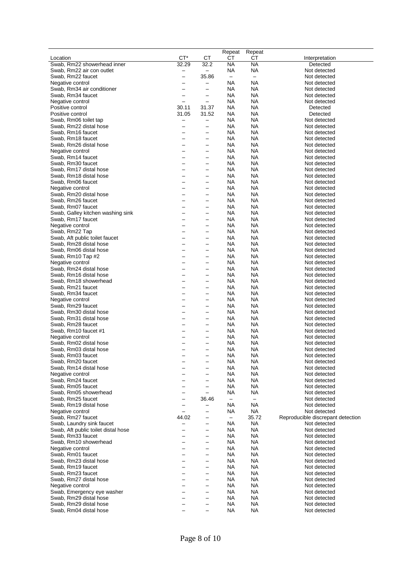|                                     |                          |                          | Repeat                   | Repeat            |                                   |
|-------------------------------------|--------------------------|--------------------------|--------------------------|-------------------|-----------------------------------|
| Location                            | CT*                      | СT                       | СT                       | СT                | Interpretation                    |
| Swab, Rm22 showerhead inner         | 32.29                    | 32.2                     | ΝA                       | ΝA                | Detected                          |
| Swab, Rm22 air con outlet           |                          | $\overline{\phantom{0}}$ | <b>NA</b>                | <b>NA</b>         | Not detected                      |
| Swab, Rm22 faucet                   |                          | 35.86                    | $\qquad \qquad -$        | $\qquad \qquad -$ | Not detected                      |
| Negative control                    | $\overline{\phantom{0}}$ | —                        | NА                       | NA                | Not detected                      |
| Swab, Rm34 air conditioner          |                          | $\overline{\phantom{0}}$ | ΝA                       | NA                | Not detected                      |
| Swab, Rm34 faucet                   | $\overline{\phantom{0}}$ | $\qquad \qquad -$        | NA                       | NA                | Not detected                      |
| Negative control                    | $\overline{\phantom{0}}$ | $\overline{\phantom{0}}$ | <b>NA</b>                | NA                | Not detected                      |
| Positive control                    | 30.11                    | 31.37                    | NA                       | NA                | Detected                          |
| Positive control                    | 31.05                    | 31.52                    | NA                       | NA                | Detected                          |
| Swab, Rm06 toilet tap               |                          | $\qquad \qquad -$        | <b>NA</b>                | NA                | Not detected                      |
| Swab, Rm22 distal hose              |                          | $\qquad \qquad -$        | NA                       | NA                | Not detected                      |
| Swab, Rm16 faucet                   |                          | -                        | NA                       | NA                | Not detected                      |
| Swab, Rm18 faucet                   |                          | $\qquad \qquad -$        | <b>NA</b>                | NA                | Not detected                      |
| Swab, Rm26 distal hose              | $\overline{\phantom{0}}$ | $\overline{\phantom{0}}$ | <b>NA</b>                | NA                | Not detected                      |
| Negative control                    |                          | $\overline{\phantom{0}}$ | NA                       | <b>NA</b>         | Not detected                      |
| Swab, Rm14 faucet                   |                          | $\overline{\phantom{0}}$ | NA                       | NA                | Not detected                      |
| Swab, Rm30 faucet                   |                          | $\overline{\phantom{0}}$ | NA                       | <b>NA</b>         | Not detected                      |
| Swab, Rm17 distal hose              |                          | $\overline{\phantom{0}}$ | NA                       | NA                | Not detected                      |
| Swab, Rm18 distal hose              |                          | $\overline{\phantom{0}}$ | ΝA                       | NA                | Not detected                      |
| Swab, Rm06 faucet                   |                          | —                        | <b>NA</b>                | NA                | Not detected                      |
| Negative control                    |                          | —                        | ΝA                       | NA                | Not detected                      |
| Swab, Rm20 distal hose              |                          | $\overline{\phantom{0}}$ | <b>NA</b>                | NA                | Not detected                      |
| Swab, Rm26 faucet                   |                          | $\overline{\phantom{0}}$ | NA                       | <b>NA</b>         | Not detected                      |
| Swab, Rm07 faucet                   |                          | $\overline{\phantom{0}}$ | NA                       | NA                | Not detected                      |
| Swab, Galley kitchen washing sink   |                          | $\overline{\phantom{0}}$ | NA                       | NA                | Not detected                      |
| Swab, Rm17 faucet                   |                          | $\overline{\phantom{0}}$ | NA                       | NA                | Not detected                      |
| Negative control                    | $\overline{\phantom{0}}$ | $\overline{\phantom{0}}$ | ΝA                       | NА                | Not detected                      |
| Swab, Rm22 Tap                      |                          | $\qquad \qquad -$        | NA                       | <b>NA</b>         | Not detected                      |
| Swab, Aft public toilet faucet      |                          | $\overline{\phantom{0}}$ | NA                       | NA                | Not detected                      |
| Swab, Rm28 distal hose              |                          | $\overline{\phantom{0}}$ | NA                       | <b>NA</b>         | Not detected                      |
| Swab, Rm06 distal hose              |                          | $\overline{\phantom{0}}$ | NA                       | NA                | Not detected                      |
| Swab, Rm10 Tap #2                   |                          | $\overline{\phantom{0}}$ | NA                       | NA                | Not detected                      |
| Negative control                    |                          | $\overline{\phantom{0}}$ | ΝA                       | NA                | Not detected                      |
| Swab, Rm24 distal hose              |                          | $\overline{\phantom{0}}$ | NА                       | NA                | Not detected                      |
| Swab, Rm16 distal hose              |                          | $\overline{\phantom{0}}$ | <b>NA</b>                | NA                | Not detected                      |
| Swab, Rm18 showerhead               |                          | -                        | <b>NA</b>                | NA                | Not detected                      |
| Swab, Rm21 faucet                   |                          | $\overline{\phantom{0}}$ | NA                       | NA                | Not detected                      |
| Swab, Rm34 faucet                   |                          | $\overline{\phantom{0}}$ | NA                       | NA                | Not detected                      |
| Negative control                    |                          | $\overline{\phantom{0}}$ | <b>NA</b>                | NA                | Not detected                      |
| Swab, Rm29 faucet                   |                          | $\overline{\phantom{0}}$ | NA                       | NA                | Not detected                      |
| Swab, Rm30 distal hose              |                          | $\qquad \qquad -$        | NA                       | NA                | Not detected                      |
| Swab, Rm31 distal hose              |                          | $\overline{\phantom{0}}$ | <b>NA</b>                | NA                | Not detected                      |
| Swab, Rm28 faucet                   |                          | $\overline{\phantom{0}}$ | <b>NA</b>                | NA                | Not detected                      |
| Swab, Rm10 faucet #1                |                          | $\overline{\phantom{0}}$ | <b>NA</b>                | NA                | Not detected                      |
| Negative control                    |                          | $\overline{\phantom{0}}$ | <b>NA</b>                | <b>NA</b>         | Not detected                      |
| Swab, Rm02 distal hose              |                          | $\overline{\phantom{0}}$ | <b>NA</b>                | NA                | Not detected                      |
| Swab, Rm03 distal hose              |                          |                          | NA                       | NA                | Not detected                      |
| Swab, Rm03 faucet                   |                          |                          | <b>NA</b>                | NA                | Not detected                      |
| Swab, Rm20 faucet                   |                          |                          | NА                       | NA                | Not detected                      |
| Swab, Rm14 distal hose              |                          |                          | <b>NA</b>                | NA                | Not detected                      |
| Negative control                    |                          | —                        | <b>NA</b>                | <b>NA</b>         | Not detected                      |
| Swab, Rm24 faucet                   |                          |                          | <b>NA</b>                | NA                | Not detected                      |
| Swab, Rm05 faucet                   |                          | $\qquad \qquad -$        | <b>NA</b>                | <b>NA</b>         | Not detected                      |
| Swab, Rm05 showerhead               |                          |                          | NA                       | <b>NA</b>         | Not detected                      |
| Swab, Rm25 faucet                   | $\overline{\phantom{0}}$ | 36.46                    | $\overline{\phantom{m}}$ | $\qquad \qquad -$ | Not detected                      |
| Swab, Rm19 distal hose              |                          | —                        | NА                       | NA                | Not detected                      |
| Negative control                    | $\overline{\phantom{0}}$ | $\overline{\phantom{0}}$ | <b>NA</b>                | <b>NA</b>         | Not detected                      |
| Swab, Rm27 faucet                   | 44.02                    | $\qquad \qquad -$        | $\qquad \qquad -$        | 35.72             | Reproducible discrepant detection |
| Swab, Laundry sink faucet           |                          | $\overline{\phantom{0}}$ | <b>NA</b>                | <b>NA</b>         | Not detected                      |
| Swab, Aft public toilet distal hose |                          | $\qquad \qquad -$        | <b>NA</b>                | <b>NA</b>         | Not detected                      |
| Swab, Rm33 faucet                   |                          | $\qquad \qquad -$        | <b>NA</b>                | <b>NA</b>         | Not detected                      |
| Swab, Rm10 showerhead               |                          | $\overline{\phantom{0}}$ | <b>NA</b>                | NA                | Not detected                      |
| Negative control                    |                          | $\overline{\phantom{0}}$ | NА                       | NA                | Not detected                      |
| Swab, Rm01 faucet                   |                          | —                        | <b>NA</b>                | NA                | Not detected                      |
| Swab, Rm23 distal hose              |                          | $\overline{\phantom{0}}$ | <b>NA</b>                | NA                | Not detected                      |
| Swab, Rm19 faucet                   |                          | $\qquad \qquad -$        | <b>NA</b>                | NA                | Not detected                      |
| Swab, Rm23 faucet                   |                          | $\overline{\phantom{0}}$ | <b>NA</b>                | NA                | Not detected                      |
| Swab, Rm27 distal hose              |                          | $\overline{\phantom{0}}$ | <b>NA</b>                | NA                | Not detected                      |
| Negative control                    |                          | $\overline{\phantom{0}}$ | <b>NA</b>                | NA                | Not detected                      |
| Swab, Emergency eye washer          |                          | $\qquad \qquad -$        | <b>NA</b>                | NA                | Not detected                      |
| Swab, Rm29 distal hose              |                          | $\qquad \qquad -$        | NА                       | NA                | Not detected                      |
| Swab, Rm29 distal hose              |                          | $\overline{\phantom{0}}$ | <b>NA</b>                | NA                | Not detected                      |
| Swab, Rm04 distal hose              |                          |                          | <b>NA</b>                | <b>NA</b>         | Not detected                      |
|                                     |                          |                          |                          |                   |                                   |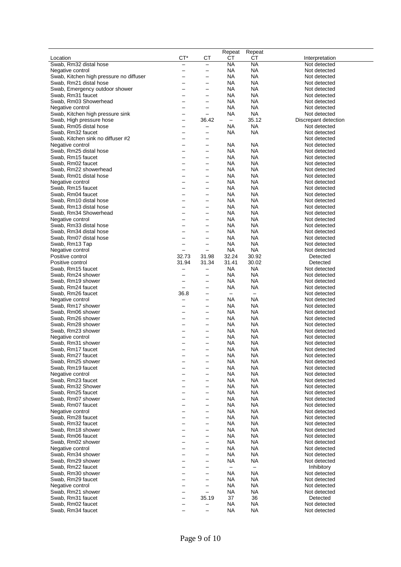|                                         |                          |                          | Repeat                   | Repeat                   |                      |
|-----------------------------------------|--------------------------|--------------------------|--------------------------|--------------------------|----------------------|
| Location                                | CT*                      | СT                       | СT                       | CТ                       | Interpretation       |
| Swab, Rm32 distal hose                  | $\overline{\phantom{0}}$ | $\overline{\phantom{0}}$ | <b>NA</b>                | <b>NA</b>                | Not detected         |
| Negative control                        | —                        |                          | NA                       | <b>NA</b>                | Not detected         |
| Swab, Kitchen high pressure no diffuser | —                        | $\overline{\phantom{0}}$ | <b>NA</b>                | NA                       | Not detected         |
| Swab, Rm21 distal hose                  | $\overline{\phantom{0}}$ | $\overline{\phantom{0}}$ | NA                       | NA                       | Not detected         |
| Swab, Emergency outdoor shower          | ▃                        | $\overline{\phantom{0}}$ | NA                       | NA                       | Not detected         |
| Swab, Rm31 faucet                       | -                        | —                        | NА                       | NA                       | Not detected         |
| Swab, Rm03 Showerhead                   | $\overline{\phantom{0}}$ | $\overline{\phantom{0}}$ | NА                       | NA                       | Not detected         |
| Negative control                        | -                        |                          | NA                       | <b>NA</b>                | Not detected         |
| Swab, Kitchen high pressure sink        | —                        | $\overline{\phantom{0}}$ | NA                       | <b>NA</b>                | Not detected         |
| Swab, High pressure hose                | —                        | 36.42                    | $\overline{\phantom{m}}$ | 35.12                    | Discrepant detection |
| Swab, Rm05 distal hose                  | —                        | —                        | NA                       | <b>NA</b>                | Not detected         |
| Swab, Rm32 faucet                       | -                        | $\overline{\phantom{0}}$ | NА                       | NA                       | Not detected         |
|                                         |                          |                          |                          |                          | Not detected         |
| Swab, Kitchen sink no diffuser #2       | —                        | —                        |                          |                          |                      |
| Negative control                        | —                        | $\overline{\phantom{0}}$ | NА                       | NA                       | Not detected         |
| Swab, Rm25 distal hose                  | —                        | —                        | NA                       | <b>NA</b>                | Not detected         |
| Swab, Rm15 faucet                       | —                        |                          | NA                       | NA                       | Not detected         |
| Swab, Rm02 faucet                       | -                        | —                        | <b>NA</b>                | NA                       | Not detected         |
| Swab, Rm22 showerhead                   | —                        | $\overline{\phantom{0}}$ | <b>NA</b>                | NA                       | Not detected         |
| Swab, Rm01 distal hose                  | —                        | $\overline{\phantom{0}}$ | NA                       | <b>NA</b>                | Not detected         |
| Negative control                        | ▃                        | $\overline{\phantom{0}}$ | NА                       | NA                       | Not detected         |
| Swab, Rm15 faucet                       | -                        | —                        | NА                       | NA                       | Not detected         |
| Swab, Rm04 faucet                       | —                        | —                        | NA                       | NA                       | Not detected         |
| Swab, Rm10 distal hose                  | —                        | —                        | NA                       | NA                       | Not detected         |
| Swab, Rm13 distal hose                  | -                        | —                        | NA                       | NA                       | Not detected         |
| Swab, Rm34 Showerhead                   | —                        | —                        | <b>NA</b>                | NA                       | Not detected         |
| Negative control                        | —                        | $\overline{\phantom{0}}$ | NA                       | <b>NA</b>                | Not detected         |
| Swab, Rm33 distal hose                  | $\overline{\phantom{0}}$ | $\overline{\phantom{0}}$ | NA                       | NA                       | Not detected         |
| Swab, Rm34 distal hose                  | —                        | —                        | NA                       | <b>NA</b>                | Not detected         |
|                                         |                          |                          |                          |                          |                      |
| Swab, Rm07 distal hose                  | —                        |                          | NA                       | <b>NA</b>                | Not detected         |
| Swab, Rm13 Tap                          | —                        | $\overline{\phantom{0}}$ | <b>NA</b>                | <b>NA</b>                | Not detected         |
| Negative control                        | —                        | $\overline{\phantom{0}}$ | <b>NA</b>                | <b>NA</b>                | Not detected         |
| Positive control                        | 32.73                    | 31.98                    | 32.24                    | 30.92                    | Detected             |
| Positive control                        | 31.94                    | 31.34                    | 31.41                    | 30.02                    | Detected             |
| Swab, Rm15 faucet                       | $\overline{\phantom{0}}$ | $\overline{\phantom{0}}$ | NА                       | <b>NA</b>                | Not detected         |
| Swab, Rm24 shower                       | $\overline{\phantom{0}}$ | —                        | NА                       | NA                       | Not detected         |
| Swab, Rm19 shower                       | —                        | —                        | NА                       | NA                       | Not detected         |
| Swab, Rm24 faucet                       | $\overline{\phantom{0}}$ | —                        | NA                       | <b>NA</b>                | Not detected         |
| Swab, Rm26 faucet                       | 36.8                     | —                        | $\overline{\phantom{m}}$ | $\overline{\phantom{m}}$ | Not detected         |
| Negative control                        | —                        | —                        | NA                       | NA                       | Not detected         |
| Swab, Rm17 shower                       | —                        | —                        | NА                       | <b>NA</b>                | Not detected         |
| Swab, Rm06 shower                       | —                        | $\overline{\phantom{0}}$ | NA                       | <b>NA</b>                | Not detected         |
| Swab, Rm26 shower                       | —                        | $\overline{\phantom{0}}$ | NА                       | <b>NA</b>                | Not detected         |
|                                         |                          |                          | NА                       | <b>NA</b>                | Not detected         |
| Swab, Rm28 shower                       | —                        | $\overline{\phantom{0}}$ |                          |                          |                      |
| Swab, Rm23 shower                       | —                        | —                        | <b>NA</b>                | <b>NA</b>                | Not detected         |
| Negative control                        | —                        | —                        | NA                       | <b>NA</b>                | Not detected         |
| Swab, Rm31 shower                       | —                        | $\overline{\phantom{0}}$ | <b>NA</b>                | NA                       | Not detected         |
| Swab, Rm17 faucet                       |                          | $\overline{\phantom{0}}$ | ΝA                       | NA                       | Not detected         |
| Swab, Rm27 faucet                       |                          |                          | <b>NA</b>                | <b>NA</b>                | Not detected         |
| Swab, Rm25 shower                       |                          | $\overline{\phantom{0}}$ | <b>NA</b>                | <b>NA</b>                | Not detected         |
| Swab, Rm19 faucet                       | -                        | $\overline{\phantom{0}}$ | <b>NA</b>                | NA                       | Not detected         |
| Negative control                        | -                        | —                        | NА                       | <b>NA</b>                | Not detected         |
| Swab, Rm23 faucet                       | —                        | $\overline{\phantom{0}}$ | NA                       | NA                       | Not detected         |
| Swab, Rm32 Shower                       | —                        | —                        | <b>NA</b>                | <b>NA</b>                | Not detected         |
| Swab, Rm25 faucet                       | —                        | —                        | <b>NA</b>                | <b>NA</b>                | Not detected         |
| Swab, Rm07 shower                       | —                        | $\qquad \qquad -$        | <b>NA</b>                | <b>NA</b>                | Not detected         |
|                                         | —                        | $\overline{\phantom{0}}$ | <b>NA</b>                | <b>NA</b>                | Not detected         |
| Swab, Rm07 faucet                       |                          |                          |                          |                          |                      |
| Negative control                        | —                        | $\qquad \qquad -$        | <b>NA</b>                | NA                       | Not detected         |
| Swab, Rm28 faucet                       | —                        | —                        | <b>NA</b>                | <b>NA</b>                | Not detected         |
| Swab, Rm32 faucet                       | $\overline{\phantom{0}}$ | $\qquad \qquad -$        | <b>NA</b>                | NA                       | Not detected         |
| Swab, Rm18 shower                       | —                        | —                        | <b>NA</b>                | <b>NA</b>                | Not detected         |
| Swab, Rm06 faucet                       | —                        |                          | <b>NA</b>                | <b>NA</b>                | Not detected         |
| Swab, Rm02 shower                       | —                        | $\overline{\phantom{0}}$ | <b>NA</b>                | <b>NA</b>                | Not detected         |
| Negative control                        | —                        | $\overline{\phantom{0}}$ | <b>NA</b>                | <b>NA</b>                | Not detected         |
| Swab, Rm34 shower                       | -                        | —                        | <b>NA</b>                | <b>NA</b>                | Not detected         |
| Swab, Rm29 shower                       | -                        | $\overline{\phantom{0}}$ | NА                       | <b>NA</b>                | Not detected         |
| Swab, Rm22 faucet                       | —                        | —                        | $\overline{\phantom{m}}$ | $\overline{\phantom{m}}$ | Inhibitory           |
| Swab, Rm30 shower                       | —                        | $\overline{\phantom{0}}$ | <b>NA</b>                | NA                       | Not detected         |
| Swab, Rm29 faucet                       | -                        | $\qquad \qquad -$        | <b>NA</b>                | <b>NA</b>                | Not detected         |
| Negative control                        | —                        | $\overline{\phantom{0}}$ | <b>NA</b>                | <b>NA</b>                | Not detected         |
|                                         |                          |                          |                          |                          |                      |
| Swab, Rm21 shower                       | —                        | $\qquad \qquad -$        | <b>NA</b>                | <b>NA</b>                | Not detected         |
| Swab, Rm31 faucet                       | —                        | 35.19                    | 37                       | 36                       | Detected             |
| Swab, Rm02 faucet                       | —                        | —                        | <b>NA</b>                | <b>NA</b>                | Not detected         |
| Swab, Rm34 faucet                       |                          | —                        | <b>NA</b>                | NA                       | Not detected         |